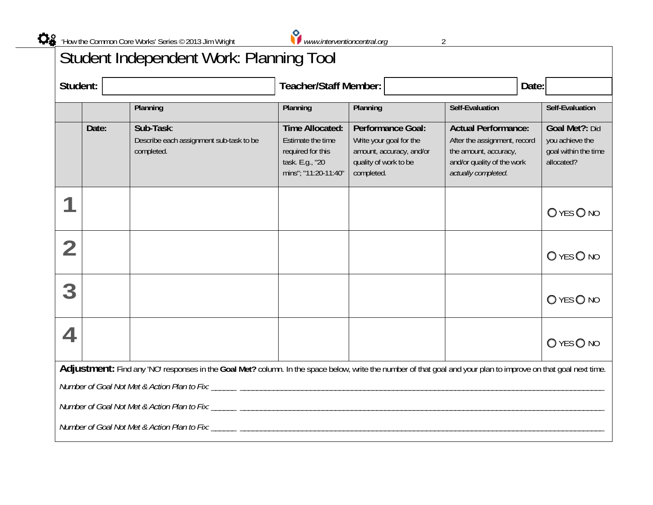

## Student Independent Work: Planning Tool

| Student:                                                                                                                                                        |       | <b>Teacher/Staff Member:</b><br>Date:                              |                                                                                                             |                                                                                                                        |                                                                                                                                          |                                                                         |  |  |  |  |
|-----------------------------------------------------------------------------------------------------------------------------------------------------------------|-------|--------------------------------------------------------------------|-------------------------------------------------------------------------------------------------------------|------------------------------------------------------------------------------------------------------------------------|------------------------------------------------------------------------------------------------------------------------------------------|-------------------------------------------------------------------------|--|--|--|--|
|                                                                                                                                                                 |       | Planning                                                           | Planning                                                                                                    | Planning                                                                                                               | Self-Evaluation                                                                                                                          | Self-Evaluation                                                         |  |  |  |  |
|                                                                                                                                                                 | Date: | Sub-Task:<br>Describe each assignment sub-task to be<br>completed. | <b>Time Allocated:</b><br>Estimate the time<br>required for this<br>task. E.g., "20<br>mins"; "11:20-11:40" | <b>Performance Goal:</b><br>Write your goal for the<br>amount, accuracy, and/or<br>quality of work to be<br>completed. | <b>Actual Performance:</b><br>After the assignment, record<br>the amount, accuracy,<br>and/or quality of the work<br>actually completed. | Goal Met?: Did<br>you achieve the<br>goal within the time<br>allocated? |  |  |  |  |
|                                                                                                                                                                 |       |                                                                    |                                                                                                             |                                                                                                                        |                                                                                                                                          | OYES ONO                                                                |  |  |  |  |
|                                                                                                                                                                 |       |                                                                    |                                                                                                             |                                                                                                                        |                                                                                                                                          | O YES O NO                                                              |  |  |  |  |
| 3                                                                                                                                                               |       |                                                                    |                                                                                                             |                                                                                                                        |                                                                                                                                          | O YES O NO                                                              |  |  |  |  |
|                                                                                                                                                                 |       |                                                                    |                                                                                                             |                                                                                                                        |                                                                                                                                          | O YES O NO                                                              |  |  |  |  |
| Adjustment: Find any 'NO' responses in the Goal Met? column. In the space below, write the number of that goal and your plan to improve on that goal next time. |       |                                                                    |                                                                                                             |                                                                                                                        |                                                                                                                                          |                                                                         |  |  |  |  |
|                                                                                                                                                                 |       |                                                                    |                                                                                                             |                                                                                                                        |                                                                                                                                          |                                                                         |  |  |  |  |
|                                                                                                                                                                 |       |                                                                    |                                                                                                             |                                                                                                                        |                                                                                                                                          |                                                                         |  |  |  |  |
|                                                                                                                                                                 |       |                                                                    |                                                                                                             |                                                                                                                        |                                                                                                                                          |                                                                         |  |  |  |  |